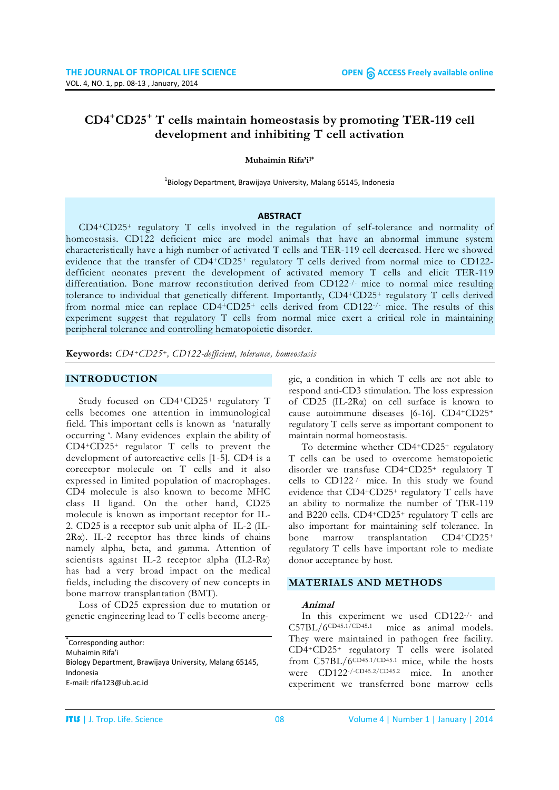# **CD4+CD25+ T cells maintain homeostasis by promoting TER-119 cell development and inhibiting T cell activation**

#### **Muhaimin Rifa'i1\***

 $^{1}$ Biology Department, Brawijaya University, Malang 65145, Indonesia

#### **ABSTRACT**

CD4+CD25+ regulatory T cells involved in the regulation of self-tolerance and normality of homeostasis. CD122 deficient mice are model animals that have an abnormal immune system characteristically have a high number of activated T cells and TER-119 cell decreased. Here we showed evidence that the transfer of CD4+CD25+ regulatory T cells derived from normal mice to CD122 defficient neonates prevent the development of activated memory T cells and elicit TER-119 differentiation. Bone marrow reconstitution derived from CD122-/- mice to normal mice resulting tolerance to individual that genetically different. Importantly, CD4+CD25+ regulatory T cells derived from normal mice can replace CD4+CD25+ cells derived from CD122-/- mice. The results of this experiment suggest that regulatory T cells from normal mice exert a critical role in maintaining peripheral tolerance and controlling hematopoietic disorder.

**Keywords:** *CD4+CD25+, CD122-defficient, tolerance, homeostasis*

#### **INTRODUCTION**

Study focused on CD4+CD25+ regulatory T cells becomes one attention in immunological field. This important cells is known as 'naturally occurring '. Many evidences explain the ability of CD4+CD25+ regulator T cells to prevent the development of autoreactive cells [1-5]. CD4 is a coreceptor molecule on T cells and it also expressed in limited population of macrophages. CD4 molecule is also known to become MHC class II ligand. On the other hand, CD25 molecule is known as important receptor for IL-2. CD25 is a receptor sub unit alpha of IL-2 (IL- $2R\alpha$ ). IL-2 receptor has three kinds of chains namely alpha, beta, and gamma. Attention of scientists against IL-2 receptor alpha (IL2-Rα) has had a very broad impact on the medical fields, including the discovery of new concepts in bone marrow transplantation (BMT).

Loss of CD25 expression due to mutation or genetic engineering lead to T cells become anerg-

\* Corresponding author: Muhaimin Rifa'i Biology Department, Brawijaya University, Malang 65145, Indonesia E-mail: rifa123@ub.ac.id

gic, a condition in which T cells are not able to respond anti-CD3 stimulation. The loss expression of CD25 (IL-2Rα) on cell surface is known to cause autoimmune diseases [6-16]. CD4+CD25+ regulatory T cells serve as important component to maintain normal homeostasis.

To determine whether CD4+CD25+ regulatory T cells can be used to overcome hematopoietic disorder we transfuse CD4+CD25+ regulatory T cells to CD122-/- mice. In this study we found evidence that CD4+CD25+ regulatory T cells have an ability to normalize the number of TER-119 and B220 cells. CD4+CD25+ regulatory T cells are also important for maintaining self tolerance. In bone marrow transplantation CD4+CD25+ regulatory T cells have important role to mediate donor acceptance by host.

#### **MATERIALS AND METHODS**

#### **Animal**

In this experiment we used CD122-/- and C57BL/6CD45.1/CD45.1 mice as animal models. They were maintained in pathogen free facility. CD4+CD25+ regulatory T cells were isolated from C57BL/6CD45.1/CD45.1 mice, while the hosts were CD122-/-CD45.2/CD45.2 mice. In another experiment we transferred bone marrow cells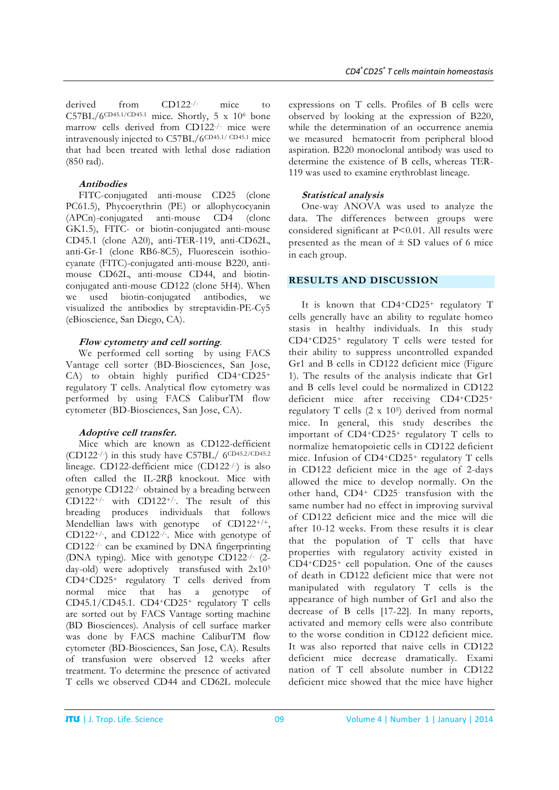derived from CD122<sup>-/-</sup> mice to  $C57BL/6^{CD45.1/CD45.1}$  mice. Shortly, 5 x 10<sup>6</sup> bone marrow cells derived from CD122-/- mice were intravenously injected to C57BL/6CD45.1/ CD45.1 mice that had been treated with lethal dose radiation (850 rad).

### **Antibodies**

FITC-conjugated anti-mouse CD25 (clone PC61.5), Phycoerythrin (PE) or allophycocyanin (APCn)-conjugated anti-mouse CD4 (clone GK1.5), FITC- or biotin-conjugated anti-mouse CD45.1 (clone A20), anti-TER-119, anti-CD62L, anti-Gr-1 (clone RB6-8C5), Fluorescein isothiocyanate (FITC)-conjugated anti-mouse B220, antimouse CD62L, anti-mouse CD44, and biotinconjugated anti-mouse CD122 (clone 5H4). When we used biotin-conjugated antibodies, we visualized the antibodies by streptavidin-PE-Cy5 (eBioscience, San Diego, CA).

#### **Flow cytometry and cell sorting**.

We performed cell sorting by using FACS Vantage cell sorter (BD-Biosciences, San Jose, CA) to obtain highly purified CD4+CD25+ regulatory T cells. Analytical flow cytometry was performed by using FACS CaliburTM flow cytometer (BD-Biosciences, San Jose, CA).

### **Adoptive cell transfer.**

Mice which are known as CD122-defficient (CD122-/-) in this study have C57BL/ 6CD45.2/CD45.2 lineage. CD122-defficient mice (CD122-/-) is also often called the IL-2Rβ knockout. Mice with genotype CD122-/- obtained by a breading between CD122+/- with CD122+/-. The result of this breading produces individuals that follows Mendellian laws with genotype of CD122<sup>+/+</sup>, CD122+/-, and CD122-/-. Mice with genotype of CD122-/- can be examined by DNA fingerprinting (DNA typing). Mice with genotype CD122-/- (2 day-old) were adoptively transfused with 2x105 CD4+CD25+ regulatory T cells derived from normal mice that has a genotype of CD45.1/CD45.1. CD4+CD25+ regulatory T cells are sorted out by FACS Vantage sorting machine (BD Biosciences). Analysis of cell surface marker was done by FACS machine CaliburTM flow cytometer (BD-Biosciences, San Jose, CA). Results of transfusion were observed 12 weeks after treatment. To determine the presence of activated T cells we observed CD44 and CD62L molecule

expressions on T cells. Profiles of B cells were observed by looking at the expression of B220, while the determination of an occurrence anemia we measured hematocrit from peripheral blood aspiration. B220 monoclonal antibody was used to determine the existence of B cells, whereas TER-119 was used to examine erythroblast lineage.

### **Statistical analysis**

One-way ANOVA was used to analyze the data. The differences between groups were considered significant at P<0.01. All results were presented as the mean of  $\pm$  SD values of 6 mice in each group.

### **RESULTS AND DISCUSSION**

It is known that CD4+CD25+ regulatory T cells generally have an ability to regulate homeo stasis in healthy individuals. In this study CD4+CD25+ regulatory T cells were tested for their ability to suppress uncontrolled expanded Gr1 and B cells in CD122 deficient mice (Figure 1). The results of the analysis indicate that Gr1 and B cells level could be normalized in CD122 deficient mice after receiving CD4+CD25+ regulatory T cells  $(2 \times 10^5)$  derived from normal mice. In general, this study describes the important of CD4+CD25+ regulatory T cells to normalize hematopoietic cells in CD122 deficient mice. Infusion of CD4+CD25+ regulatory T cells in CD122 deficient mice in the age of 2-days allowed the mice to develop normally. On the other hand, CD4+ CD25- transfusion with the same number had no effect in improving survival of CD122 deficient mice and the mice will die after 10-12 weeks. From these results it is clear that the population of T cells that have properties with regulatory activity existed in CD4+CD25+ cell population. One of the causes of death in CD122 deficient mice that were not manipulated with regulatory T cells is the appearance of high number of Gr1 and also the decrease of B cells [17-22]. In many reports, activated and memory cells were also contribute to the worse condition in CD122 deficient mice. It was also reported that naive cells in CD122 deficient mice decrease dramatically. Exami nation of T cell absolute number in CD122 deficient mice showed that the mice have higher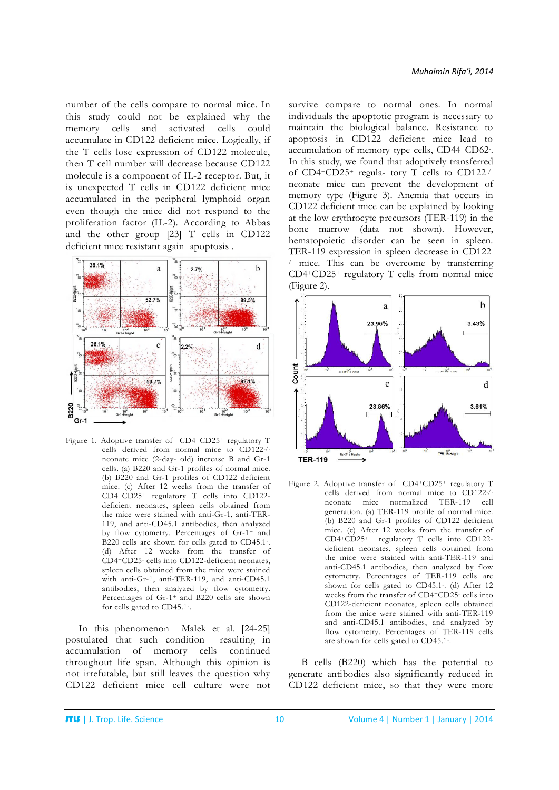number of the cells compare to normal mice. In this study could not be explained why the memory cells and activated cells could accumulate in CD122 deficient mice. Logically, if the T cells lose expression of CD122 molecule, then T cell number will decrease because CD122 molecule is a component of IL-2 receptor. But, it is unexpected T cells in CD122 deficient mice accumulated in the peripheral lymphoid organ even though the mice did not respond to the proliferation factor (IL-2). According to Abbas and the other group [23] T cells in CD122 deficient mice resistant again apoptosis .



Figure 1. Adoptive transfer of CD4+CD25+ regulatory T cells derived from normal mice to CD122-/ neonate mice (2-day- old) increase B and Gr-1 cells. (a) B220 and Gr-1 profiles of normal mice. (b) B220 and Gr-1 profiles of CD122 deficient mice. (c) After 12 weeks from the transfer of CD4+CD25+ regulatory T cells into CD122 deficient neonates, spleen cells obtained from the mice were stained with anti-Gr-1, anti-TER-119, and anti-CD45.1 antibodies, then analyzed by flow cytometry. Percentages of Gr-1+ and B220 cells are shown for cells gated to CD45.1-. (d) After 12 weeks from the transfer of CD4+CD25- cells into CD122-deficient neonates, spleen cells obtained from the mice were stained with anti-Gr-1, anti-TER-119, and anti-CD45.1 antibodies, then analyzed by flow cytometry. Percentages of Gr-1+ and B220 cells are shown for cells gated to CD45.1- .

In this phenomenon Malek et al. [24-25] postulated that such condition resulting in accumulation of memory cells continued throughout life span. Although this opinion is not irrefutable, but still leaves the question why CD122 deficient mice cell culture were not

survive compare to normal ones. In normal individuals the apoptotic program is necessary to maintain the biological balance. Resistance to apoptosis in CD122 deficient mice lead to accumulation of memory type cells, CD44+CD62- . In this study, we found that adoptively transferred of CD4+CD25+ regula- tory T cells to CD122-/ neonate mice can prevent the development of memory type (Figure 3). Anemia that occurs in CD122 deficient mice can be explained by looking at the low erythrocyte precursors (TER-119) in the bone marrow (data not shown). However, hematopoietic disorder can be seen in spleen. TER-119 expression in spleen decrease in CD122- /- mice. This can be overcome by transferring CD4+CD25+ regulatory T cells from normal mice (Figure 2).



Figure 2. Adoptive transfer of CD4+CD25+ regulatory T cells derived from normal mice to CD122-/ neonate mice normalized TER-119 cell generation. (a) TER-119 profile of normal mice. (b) B220 and Gr-1 profiles of CD122 deficient mice. (c) After 12 weeks from the transfer of CD4+CD25+ regulatory T cells into CD122 deficient neonates, spleen cells obtained from the mice were stained with anti-TER-119 and anti-CD45.1 antibodies, then analyzed by flow cytometry. Percentages of TER-119 cells are shown for cells gated to CD45.1-. (d) After 12 weeks from the transfer of CD4+CD25- cells into CD122-deficient neonates, spleen cells obtained from the mice were stained with anti-TER-119 and anti-CD45.1 antibodies, and analyzed by flow cytometry. Percentages of TER-119 cells are shown for cells gated to CD45.1- .

B cells (B220) which has the potential to generate antibodies also significantly reduced in CD122 deficient mice, so that they were more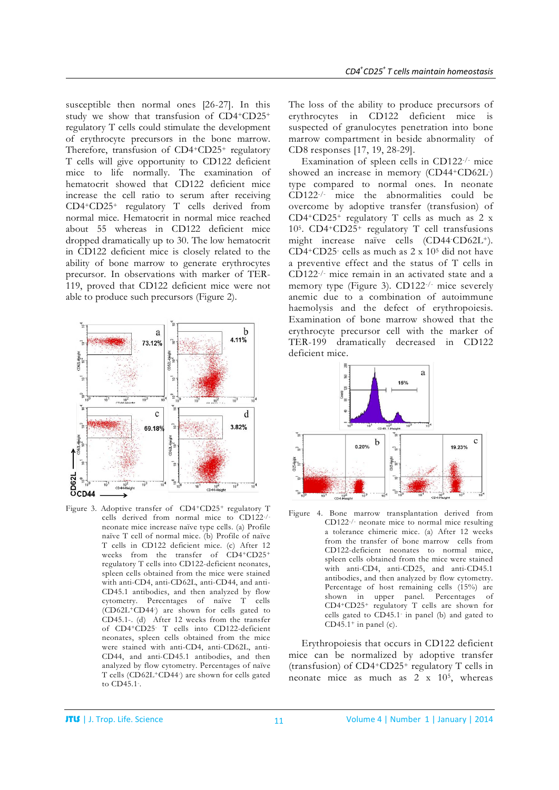susceptible then normal ones [26-27]. In this study we show that transfusion of CD4+CD25+ regulatory T cells could stimulate the development of erythrocyte precursors in the bone marrow. Therefore, transfusion of CD4+CD25+ regulatory T cells will give opportunity to CD122 deficient mice to life normally. The examination of hematocrit showed that CD122 deficient mice increase the cell ratio to serum after receiving CD4+CD25+ regulatory T cells derived from normal mice. Hematocrit in normal mice reached about 55 whereas in CD122 deficient mice dropped dramatically up to 30. The low hematocrit in CD122 deficient mice is closely related to the ability of bone marrow to generate erythrocytes precursor. In observations with marker of TER-119, proved that CD122 deficient mice were not able to produce such precursors (Figure 2).



Figure 3. Adoptive transfer of CD4+CD25+ regulatory T cells derived from normal mice to CD122-/ neonate mice increase naïve type cells. (a) Profile naïve T cell of normal mice. (b) Profile of naïve T cells in CD122 deficient mice. (c) After 12 weeks from the transfer of CD4+CD25+ regulatory T cells into CD122-deficient neonates, spleen cells obtained from the mice were stained with anti-CD4, anti-CD62L, anti-CD44, and anti-CD45.1 antibodies, and then analyzed by flow cytometry. Percentages of naïve T cells (CD62L+CD44- ) are shown for cells gated to CD45.1-. (d) After 12 weeks from the transfer of CD4+CD25- T cells into CD122-deficient neonates, spleen cells obtained from the mice were stained with anti-CD4, anti-CD62L, anti-CD44, and anti-CD45.1 antibodies, and then analyzed by flow cytometry. Percentages of naïve T cells (CD62L+CD44- ) are shown for cells gated to CD45.1-.

The loss of the ability to produce precursors of erythrocytes in CD122 deficient mice is suspected of granulocytes penetration into bone marrow compartment in beside abnormality of CD8 responses [17, 19, 28-29].

Examination of spleen cells in CD122-/- mice showed an increase in memory (CD44+CD62L-) type compared to normal ones. In neonate CD122-/- mice the abnormalities could be overcome by adoptive transfer (transfusion) of CD4+CD25+ regulatory T cells as much as 2 x 105. CD4+CD25+ regulatory T cell transfusions might increase naïve cells (CD44- CD62L+). CD4+CD25- cells as much as 2 x 105 did not have a preventive effect and the status of T cells in CD122-/- mice remain in an activated state and a memory type (Figure 3). CD122-/- mice severely anemic due to a combination of autoimmune haemolysis and the defect of erythropoiesis. Examination of bone marrow showed that the erythrocyte precursor cell with the marker of TER-199 dramatically decreased in CD122 deficient mice.



Figure 4. Bone marrow transplantation derived from CD122-/- neonate mice to normal mice resulting a tolerance chimeric mice. (a) After 12 weeks from the transfer of bone marrow cells from CD122-deficient neonates to normal mice, spleen cells obtained from the mice were stained with anti-CD4, anti-CD25, and anti-CD45.1 antibodies, and then analyzed by flow cytometry. Percentage of host remaining cells (15%) are shown in upper panel. Percentages of CD4+CD25+ regulatory T cells are shown for cells gated to CD45.1- in panel (b) and gated to CD45.1<sup>+</sup> in panel (c).

Erythropoiesis that occurs in CD122 deficient mice can be normalized by adoptive transfer (transfusion) of CD4+CD25+ regulatory T cells in neonate mice as much as  $2 \times 10^5$ , whereas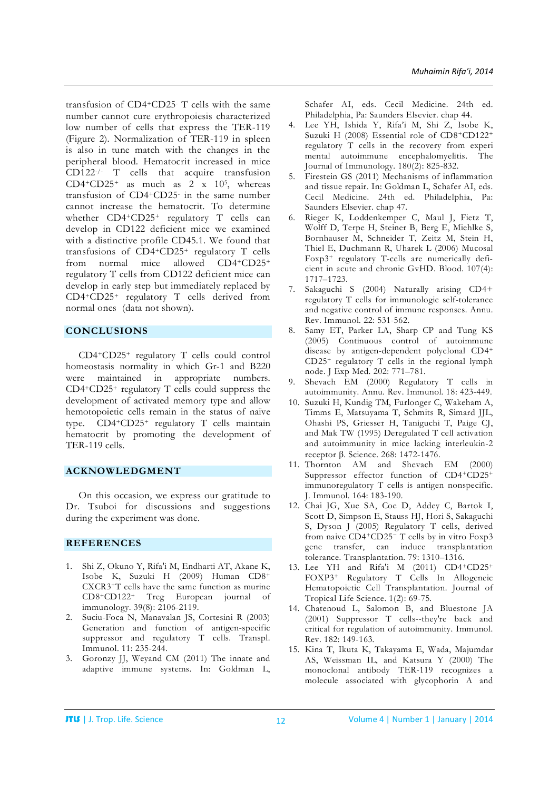transfusion of CD4+CD25- T cells with the same number cannot cure erythropoiesis characterized low number of cells that express the TER-119 (Figure 2). Normalization of TER-119 in spleen is also in tune match with the changes in the peripheral blood. Hematocrit increased in mice CD122-/- T cells that acquire transfusion CD4+CD25+ as much as  $2 \times 10^5$ , whereas transfusion of CD4+CD25- in the same number cannot increase the hematocrit. To determine whether CD4+CD25+ regulatory T cells can develop in CD122 deficient mice we examined with a distinctive profile CD45.1. We found that transfusions of CD4+CD25+ regulatory T cells from normal mice allowed CD4+CD25+ regulatory T cells from CD122 deficient mice can develop in early step but immediately replaced by CD4+CD25+ regulatory T cells derived from normal ones (data not shown).

## **CONCLUSIONS**

CD4+CD25+ regulatory T cells could control homeostasis normality in which Gr-1 and B220 were maintained in appropriate numbers. CD4+CD25+ regulatory T cells could suppress the development of activated memory type and allow hemotopoietic cells remain in the status of naïve type. CD4+CD25+ regulatory T cells maintain hematocrit by promoting the development of TER-119 cells.

### **ACKNOWLEDGMENT**

On this occasion, we express our gratitude to Dr. Tsuboi for discussions and suggestions during the experiment was done.

#### **REFERENCES**

- 1. Shi Z, Okuno Y, Rifa'i M, Endharti AT, Akane K, Isobe K, Suzuki H (2009) Human CD8+ CXCR3+T cells have the same function as murine CD8+CD122+ Treg European journal of immunology. 39(8): 2106-2119.
- 2. Suciu-Foca N, Manavalan JS, Cortesini R (2003) Generation and function of antigen-specific suppressor and regulatory T cells. Transpl. Immunol. 11: 235-244.
- 3. Goronzy JJ, Weyand CM (2011) The innate and adaptive immune systems. In: Goldman L,

Schafer AI, eds. Cecil Medicine. 24th ed. Philadelphia, Pa: Saunders Elsevier. chap 44.

- 4. Lee YH, Ishida Y, Rifa'i M, Shi Z, Isobe K, Suzuki H (2008) Essential role of CD8+CD122+ regulatory T cells in the recovery from experi mental autoimmune encephalomyelitis. The Journal of Immunology. 180(2): 825-832.
- 5. Firestein GS (2011) Mechanisms of inflammation and tissue repair. In: Goldman L, Schafer AI, eds. Cecil Medicine. 24th ed. Philadelphia, Pa: Saunders Elsevier. chap 47.
- 6. Rieger K, Loddenkemper C, Maul J, Fietz T, Wolff D, Terpe H, Steiner B, Berg E, Miehlke S, Bornhauser M, Schneider T, Zeitz M, Stein H, Thiel E, Duchmann R, Uharek L (2006) Mucosal Foxp3+ regulatory T-cells are numerically deficient in acute and chronic GvHD. Blood. 107(4): 1717–1723.
- 7. Sakaguchi S (2004) Naturally arising CD4+ regulatory T cells for immunologic self-tolerance and negative control of immune responses. Annu. Rev. Immunol. 22: 531-562.
- 8. Samy ET, Parker LA, Sharp CP and Tung KS (2005) Continuous control of autoimmune disease by antigen-dependent polyclonal CD4+ CD25+ regulatory T cells in the regional lymph node. J Exp Med. 202: 771–781.
- 9. Shevach EM (2000) Regulatory T cells in autoimmunity. Annu. Rev. Immunol. 18: 423-449.
- 10. Suzuki H, Kundig TM, Furlonger C, Wakeham A, Timms E, Matsuyama T, Schmits R, Simard JJL, Ohashi PS, Griesser H, Taniguchi T, Paige CJ, and Mak TW (1995) Deregulated T cell activation and autoimmunity in mice lacking interleukin-2 receptor β. Science. 268: 1472-1476.
- 11. Thornton AM and Shevach EM (2000) Suppressor effector function of CD4+CD25+ immunoregulatory T cells is antigen nonspecific. J. Immunol. 164: 183-190.
- 12. Chai JG, Xue SA, Coe D, Addey C, Bartok I, Scott D, Simpson E, Stauss HJ, Hori S, Sakaguchi S, Dyson J (2005) Regulatory T cells, derived from naive CD4+CD25<sup>−</sup> T cells by in vitro Foxp3 gene transfer, can induce transplantation tolerance. Transplantation. 79: 1310–1316.
- 13. Lee YH and Rifa'i M (2011) CD4+CD25+ FOXP3+ Regulatory T Cells In Allogeneic Hematopoietic Cell Transplantation. Journal of Tropical Life Science. 1(2): 69-75.
- 14. Chatenoud L, Salomon B, and Bluestone JA (2001) Suppressor T cells--they're back and critical for regulation of autoimmunity. Immunol. Rev. 182: 149-163.
- 15. Kina T, Ikuta K, Takayama E, Wada, Majumdar AS, Weissman IL, and Katsura Y (2000) The monoclonal antibody TER-119 recognizes a molecule associated with glycophorin A and